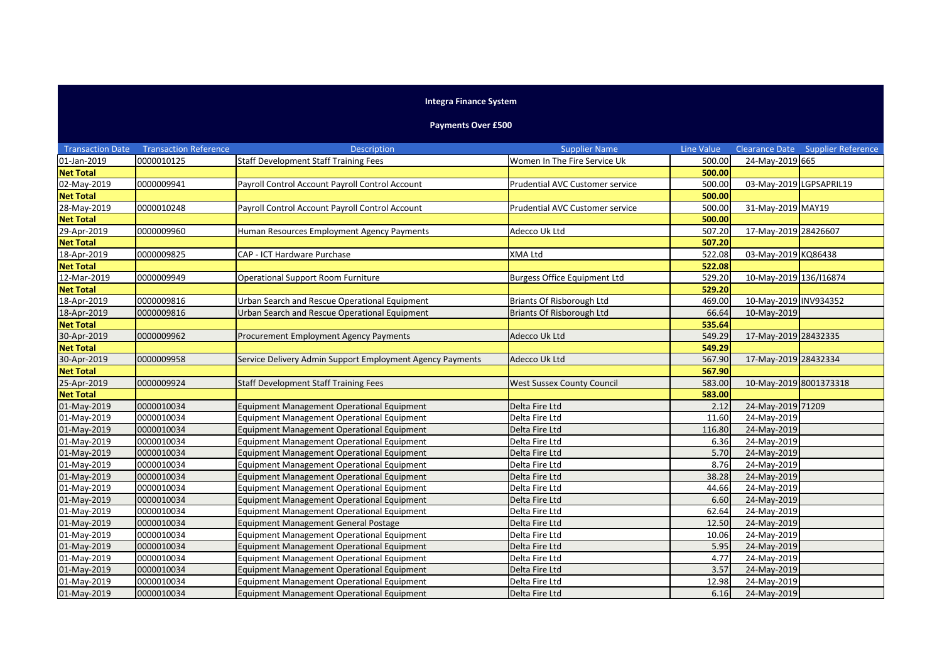## **Integra Finance System**

## **Payments Over £500**

| <b>Transaction Date</b> | <b>Transaction Reference</b> | <b>Description</b>                                        | <b>Supplier Name</b>                | Line Value |                         | Clearance Date Supplier Reference |
|-------------------------|------------------------------|-----------------------------------------------------------|-------------------------------------|------------|-------------------------|-----------------------------------|
| 01-Jan-2019             | 0000010125                   | <b>Staff Development Staff Training Fees</b>              | Women In The Fire Service Uk        | 500.00     | 24-May-2019 665         |                                   |
| <b>Net Total</b>        |                              |                                                           |                                     | 500.00     |                         |                                   |
| 02-May-2019             | 0000009941                   | Payroll Control Account Payroll Control Account           | Prudential AVC Customer service     | 500.00     | 03-May-2019 LGPSAPRIL19 |                                   |
| <b>Net Total</b>        |                              |                                                           |                                     | 500.00     |                         |                                   |
| 28-May-2019             | 0000010248                   | Payroll Control Account Payroll Control Account           | Prudential AVC Customer service     | 500.00     | 31-May-2019 MAY19       |                                   |
| <b>Net Total</b>        |                              |                                                           |                                     | 500.00     |                         |                                   |
| 29-Apr-2019             | 0000009960                   | Human Resources Employment Agency Payments                | Adecco Uk Ltd                       | 507.20     | 17-May-2019 28426607    |                                   |
| <b>Net Total</b>        |                              |                                                           |                                     | 507.20     |                         |                                   |
| 18-Apr-2019             | 0000009825                   | CAP - ICT Hardware Purchase                               | <b>XMA Ltd</b>                      | 522.08     | 03-May-2019 KQ86438     |                                   |
| <b>Net Total</b>        |                              |                                                           |                                     | 522.08     |                         |                                   |
| 12-Mar-2019             | 0000009949                   | Operational Support Room Furniture                        | <b>Burgess Office Equipment Ltd</b> | 529.20     | 10-May-2019 136/I16874  |                                   |
| <b>Net Total</b>        |                              |                                                           |                                     | 529.20     |                         |                                   |
| 18-Apr-2019             | 0000009816                   | Urban Search and Rescue Operational Equipment             | <b>Briants Of Risborough Ltd</b>    | 469.00     | 10-May-2019 INV934352   |                                   |
| 18-Apr-2019             | 0000009816                   | Urban Search and Rescue Operational Equipment             | Briants Of Risborough Ltd           | 66.64      | 10-May-2019             |                                   |
| <b>Net Total</b>        |                              |                                                           |                                     | 535.64     |                         |                                   |
| 30-Apr-2019             | 0000009962                   | Procurement Employment Agency Payments                    | Adecco Uk Ltd                       | 549.29     | 17-May-2019 28432335    |                                   |
| <b>Net Total</b>        |                              |                                                           |                                     | 549.29     |                         |                                   |
| 30-Apr-2019             | 0000009958                   | Service Delivery Admin Support Employment Agency Payments | Adecco Uk Ltd                       | 567.90     | 17-May-2019 28432334    |                                   |
| <b>Net Total</b>        |                              |                                                           |                                     | 567.90     |                         |                                   |
| 25-Apr-2019             | 0000009924                   | <b>Staff Development Staff Training Fees</b>              | <b>West Sussex County Council</b>   | 583.00     | 10-May-2019 8001373318  |                                   |
| <b>Net Total</b>        |                              |                                                           |                                     | 583.00     |                         |                                   |
| 01-May-2019             | 0000010034                   | <b>Equipment Management Operational Equipment</b>         | Delta Fire Ltd                      | 2.12       | 24-May-2019 71209       |                                   |
| 01-May-2019             | 0000010034                   | Equipment Management Operational Equipment                | Delta Fire Ltd                      | 11.60      | 24-May-2019             |                                   |
| 01-May-2019             | 0000010034                   | Equipment Management Operational Equipment                | Delta Fire Ltd                      | 116.80     | 24-May-2019             |                                   |
| 01-May-2019             | 0000010034                   | Equipment Management Operational Equipment                | Delta Fire Ltd                      | 6.36       | 24-May-2019             |                                   |
| 01-May-2019             | 0000010034                   | Equipment Management Operational Equipment                | Delta Fire Ltd                      | 5.70       | 24-May-2019             |                                   |
| 01-May-2019             | 0000010034                   | Equipment Management Operational Equipment                | Delta Fire Ltd                      | 8.76       | 24-May-2019             |                                   |
| 01-May-2019             | 0000010034                   | Equipment Management Operational Equipment                | Delta Fire Ltd                      | 38.28      | 24-May-2019             |                                   |
| 01-May-2019             | 0000010034                   | Equipment Management Operational Equipment                | Delta Fire Ltd                      | 44.66      | 24-May-2019             |                                   |
| 01-May-2019             | 0000010034                   | <b>Equipment Management Operational Equipment</b>         | Delta Fire Ltd                      | 6.60       | 24-May-2019             |                                   |
| 01-May-2019             | 0000010034                   | Equipment Management Operational Equipment                | Delta Fire Ltd                      | 62.64      | 24-May-2019             |                                   |
| 01-May-2019             | 0000010034                   | <b>Equipment Management General Postage</b>               | Delta Fire Ltd                      | 12.50      | 24-May-2019             |                                   |
| 01-May-2019             | 0000010034                   | Equipment Management Operational Equipment                | Delta Fire Ltd                      | 10.06      | 24-May-2019             |                                   |
| 01-May-2019             | 0000010034                   | Equipment Management Operational Equipment                | Delta Fire Ltd                      | 5.95       | 24-May-2019             |                                   |
| 01-May-2019             | 0000010034                   | <b>Equipment Management Operational Equipment</b>         | Delta Fire Ltd                      | 4.77       | 24-May-2019             |                                   |
| 01-May-2019             | 0000010034                   | Equipment Management Operational Equipment                | Delta Fire Ltd                      | 3.57       | 24-May-2019             |                                   |
| 01-May-2019             | 0000010034                   | Equipment Management Operational Equipment                | Delta Fire Ltd                      | 12.98      | 24-May-2019             |                                   |
| 01-May-2019             | 0000010034                   | <b>Equipment Management Operational Equipment</b>         | Delta Fire Ltd                      | 6.16       | 24-May-2019             |                                   |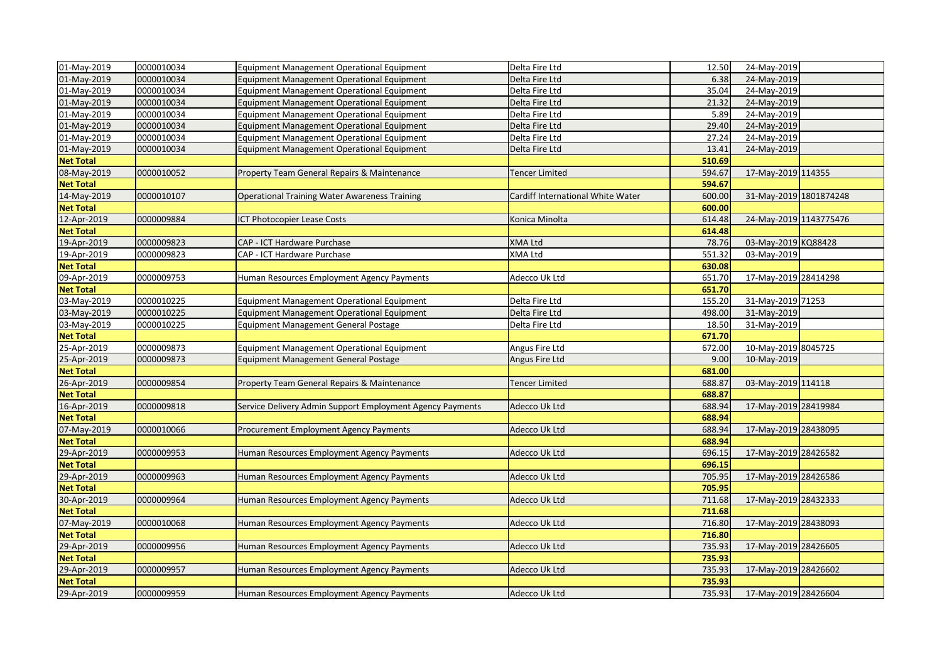| 01-May-2019      | 0000010034 | <b>Equipment Management Operational Equipment</b>         | Delta Fire Ltd                    | 12.50  | 24-May-2019            |  |
|------------------|------------|-----------------------------------------------------------|-----------------------------------|--------|------------------------|--|
| 01-May-2019      | 0000010034 | Equipment Management Operational Equipment                | Delta Fire Ltd                    | 6.38   | 24-May-2019            |  |
| 01-May-2019      | 0000010034 | Equipment Management Operational Equipment                | Delta Fire Ltd                    | 35.04  | 24-May-2019            |  |
| 01-May-2019      | 0000010034 | Equipment Management Operational Equipment                | Delta Fire Ltd                    | 21.32  | 24-May-2019            |  |
| 01-May-2019      | 0000010034 | Equipment Management Operational Equipment                | Delta Fire Ltd                    | 5.89   | 24-May-2019            |  |
| 01-May-2019      | 0000010034 | Equipment Management Operational Equipment                | Delta Fire Ltd                    | 29.40  | 24-May-2019            |  |
| 01-May-2019      | 0000010034 | Equipment Management Operational Equipment                | Delta Fire Ltd                    | 27.24  | 24-May-2019            |  |
| 01-May-2019      | 0000010034 | <b>Equipment Management Operational Equipment</b>         | Delta Fire Ltd                    | 13.41  | 24-May-2019            |  |
| <b>Net Total</b> |            |                                                           |                                   | 510.69 |                        |  |
| 08-May-2019      | 0000010052 | Property Team General Repairs & Maintenance               | Tencer Limited                    | 594.67 | 17-May-2019 114355     |  |
| <b>Net Total</b> |            |                                                           |                                   | 594.67 |                        |  |
| 14-May-2019      | 0000010107 | <b>Operational Training Water Awareness Training</b>      | Cardiff International White Water | 600.00 | 31-May-2019 1801874248 |  |
| <b>Net Total</b> |            |                                                           |                                   | 600.00 |                        |  |
| 12-Apr-2019      | 0000009884 | ICT Photocopier Lease Costs                               | Konica Minolta                    | 614.48 | 24-May-2019 1143775476 |  |
| <b>Net Total</b> |            |                                                           |                                   | 614.48 |                        |  |
| 19-Apr-2019      | 0000009823 | <b>CAP - ICT Hardware Purchase</b>                        | <b>XMA Ltd</b>                    | 78.76  | 03-May-2019 KQ88428    |  |
| 19-Apr-2019      | 0000009823 | CAP - ICT Hardware Purchase                               | <b>XMA Ltd</b>                    | 551.32 | 03-May-2019            |  |
| <b>Net Total</b> |            |                                                           |                                   | 630.08 |                        |  |
| 09-Apr-2019      | 0000009753 | Human Resources Employment Agency Payments                | Adecco Uk Ltd                     | 651.70 | 17-May-2019 28414298   |  |
| <b>Net Total</b> |            |                                                           |                                   | 651.70 |                        |  |
| 03-May-2019      | 0000010225 | <b>Equipment Management Operational Equipment</b>         | Delta Fire Ltd                    | 155.20 | 31-May-2019 71253      |  |
| 03-May-2019      | 0000010225 | Equipment Management Operational Equipment                | Delta Fire Ltd                    | 498.00 | 31-May-2019            |  |
| 03-May-2019      | 0000010225 | <b>Equipment Management General Postage</b>               | Delta Fire Ltd                    | 18.50  | 31-May-2019            |  |
| <b>Net Total</b> |            |                                                           |                                   | 671.70 |                        |  |
| 25-Apr-2019      | 0000009873 | Equipment Management Operational Equipment                | Angus Fire Ltd                    | 672.00 | 10-May-2019 8045725    |  |
| 25-Apr-2019      | 0000009873 | <b>Equipment Management General Postage</b>               | Angus Fire Ltd                    | 9.00   | 10-May-2019            |  |
| <b>Net Total</b> |            |                                                           |                                   | 681.00 |                        |  |
| 26-Apr-2019      | 0000009854 | Property Team General Repairs & Maintenance               | <b>Tencer Limited</b>             | 688.87 | 03-May-2019 114118     |  |
| <b>Net Total</b> |            |                                                           |                                   | 688.87 |                        |  |
| 16-Apr-2019      | 0000009818 | Service Delivery Admin Support Employment Agency Payments | Adecco Uk Ltd                     | 688.94 | 17-May-2019 28419984   |  |
| <b>Net Total</b> |            |                                                           |                                   | 688.94 |                        |  |
| 07-May-2019      | 0000010066 | Procurement Employment Agency Payments                    | Adecco Uk Ltd                     | 688.94 | 17-May-2019 28438095   |  |
| <b>Net Total</b> |            |                                                           |                                   | 688.94 |                        |  |
| 29-Apr-2019      | 0000009953 | Human Resources Employment Agency Payments                | Adecco Uk Ltd                     | 696.15 | 17-May-2019 28426582   |  |
| <b>Net Total</b> |            |                                                           |                                   | 696.15 |                        |  |
| 29-Apr-2019      | 0000009963 | Human Resources Employment Agency Payments                | Adecco Uk Ltd                     | 705.95 | 17-May-2019 28426586   |  |
| <b>Net Total</b> |            |                                                           |                                   | 705.95 |                        |  |
| 30-Apr-2019      | 0000009964 | Human Resources Employment Agency Payments                | Adecco Uk Ltd                     | 711.68 | 17-May-2019 28432333   |  |
| <b>Net Total</b> |            |                                                           |                                   | 711.68 |                        |  |
| 07-May-2019      | 0000010068 | Human Resources Employment Agency Payments                | Adecco Uk Ltd                     | 716.80 | 17-May-2019 28438093   |  |
| <b>Net Total</b> |            |                                                           |                                   | 716.80 |                        |  |
| 29-Apr-2019      | 0000009956 | Human Resources Employment Agency Payments                | Adecco Uk Ltd                     | 735.93 | 17-May-2019 28426605   |  |
| <b>Net Total</b> |            |                                                           |                                   | 735.93 |                        |  |
| 29-Apr-2019      | 0000009957 | Human Resources Employment Agency Payments                | Adecco Uk Ltd                     | 735.93 | 17-May-2019 28426602   |  |
| <b>Net Total</b> |            |                                                           |                                   | 735.93 |                        |  |
| 29-Apr-2019      | 0000009959 | Human Resources Employment Agency Payments                | Adecco Uk Ltd                     | 735.93 | 17-May-2019 28426604   |  |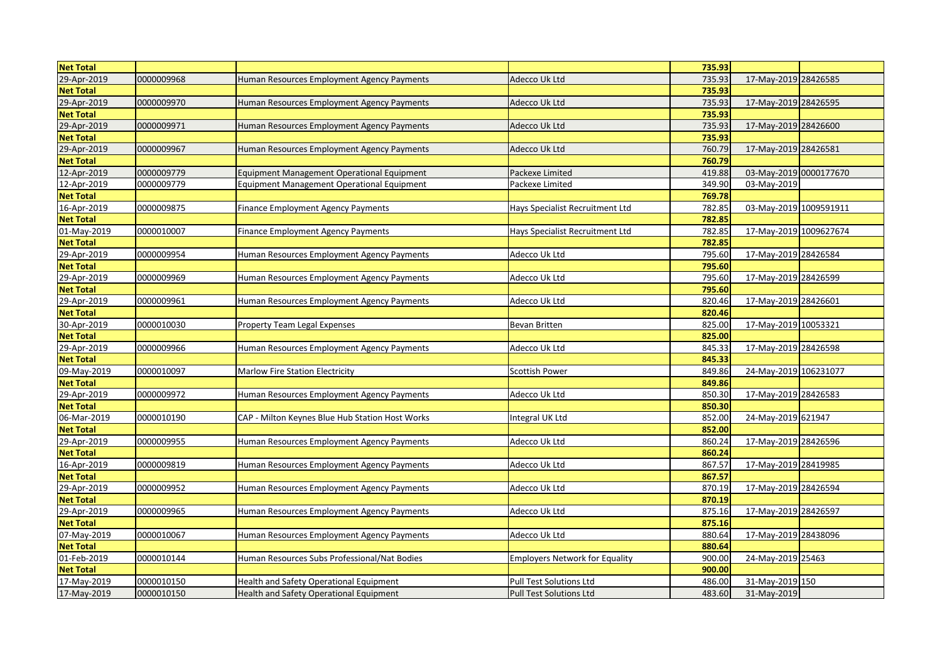| <b>Net Total</b> |            |                                                   |                                 | 735.93 |                        |  |
|------------------|------------|---------------------------------------------------|---------------------------------|--------|------------------------|--|
| 29-Apr-2019      | 0000009968 | Human Resources Employment Agency Payments        | Adecco Uk Ltd                   | 735.93 | 17-May-2019 28426585   |  |
| <b>Net Total</b> |            |                                                   |                                 | 735.93 |                        |  |
| 29-Apr-2019      | 0000009970 | Human Resources Employment Agency Payments        | Adecco Uk Ltd                   | 735.93 | 17-May-2019 28426595   |  |
| <b>Net Total</b> |            |                                                   |                                 | 735.93 |                        |  |
| 29-Apr-2019      | 0000009971 | Human Resources Employment Agency Payments        | Adecco Uk Ltd                   | 735.93 | 17-May-2019 28426600   |  |
| <b>Net Total</b> |            |                                                   |                                 | 735.93 |                        |  |
| 29-Apr-2019      | 0000009967 | Human Resources Employment Agency Payments        | Adecco Uk Ltd                   | 760.79 | 17-May-2019 28426581   |  |
| <b>Net Total</b> |            |                                                   |                                 | 760.79 |                        |  |
| 12-Apr-2019      | 0000009779 | Equipment Management Operational Equipment        | Packexe Limited                 | 419.88 | 03-May-2019 0000177670 |  |
| 12-Apr-2019      | 0000009779 | <b>Equipment Management Operational Equipment</b> | Packexe Limited                 | 349.90 | 03-May-2019            |  |
| <b>Net Total</b> |            |                                                   |                                 | 769.78 |                        |  |
| 16-Apr-2019      | 0000009875 | <b>Finance Employment Agency Payments</b>         | Hays Specialist Recruitment Ltd | 782.85 | 03-May-2019 1009591911 |  |
| <b>Net Total</b> |            |                                                   |                                 | 782.85 |                        |  |
| 01-May-2019      | 0000010007 | <b>Finance Employment Agency Payments</b>         | Hays Specialist Recruitment Ltd | 782.85 | 17-May-2019 1009627674 |  |
| <b>Net Total</b> |            |                                                   |                                 | 782.85 |                        |  |
| 29-Apr-2019      | 0000009954 | Human Resources Employment Agency Payments        | Adecco Uk Ltd                   | 795.60 | 17-May-2019 28426584   |  |
| <b>Net Total</b> |            |                                                   |                                 | 795.60 |                        |  |
| 29-Apr-2019      | 0000009969 | Human Resources Employment Agency Payments        | Adecco Uk Ltd                   | 795.60 | 17-May-2019 28426599   |  |
| <b>Net Total</b> |            |                                                   |                                 | 795.60 |                        |  |
| 29-Apr-2019      | 0000009961 | Human Resources Employment Agency Payments        | Adecco Uk Ltd                   | 820.46 | 17-May-2019 28426601   |  |
| <b>Net Total</b> |            |                                                   |                                 | 820.46 |                        |  |
| 30-Apr-2019      | 0000010030 | <b>Property Team Legal Expenses</b>               | <b>Bevan Britten</b>            | 825.00 | 17-May-2019 10053321   |  |
| <b>Net Total</b> |            |                                                   |                                 | 825.00 |                        |  |
| 29-Apr-2019      | 0000009966 | Human Resources Employment Agency Payments        | Adecco Uk Ltd                   | 845.33 | 17-May-2019 28426598   |  |
| <b>Net Total</b> |            |                                                   |                                 | 845.33 |                        |  |
| 09-May-2019      | 0000010097 | Marlow Fire Station Electricity                   | Scottish Power                  | 849.86 | 24-May-2019 106231077  |  |
| <b>Net Total</b> |            |                                                   |                                 | 849.86 |                        |  |
| 29-Apr-2019      | 0000009972 | Human Resources Employment Agency Payments        | Adecco Uk Ltd                   | 850.30 | 17-May-2019 28426583   |  |
| <b>Net Total</b> |            |                                                   |                                 | 850.30 |                        |  |
| 06-Mar-2019      | 0000010190 | CAP - Milton Keynes Blue Hub Station Host Works   | Integral UK Ltd                 | 852.00 | 24-May-2019 621947     |  |
| <b>Net Total</b> |            |                                                   |                                 | 852.00 |                        |  |
| 29-Apr-2019      | 0000009955 | Human Resources Employment Agency Payments        | Adecco Uk Ltd                   | 860.24 | 17-May-2019 28426596   |  |
| <b>Net Total</b> |            |                                                   |                                 | 860.24 |                        |  |
| 16-Apr-2019      | 0000009819 | Human Resources Employment Agency Payments        | Adecco Uk Ltd                   | 867.57 | 17-May-2019 28419985   |  |
| <b>Net Total</b> |            |                                                   |                                 | 867.57 |                        |  |
| 29-Apr-2019      | 0000009952 | Human Resources Employment Agency Payments        | Adecco Uk Ltd                   | 870.19 | 17-May-2019 28426594   |  |
| <b>Net Total</b> |            |                                                   |                                 | 870.19 |                        |  |
| 29-Apr-2019      | 0000009965 | Human Resources Employment Agency Payments        | Adecco Uk Ltd                   | 875.16 | 17-May-2019 28426597   |  |
| <b>Net Total</b> |            |                                                   |                                 | 875.16 |                        |  |
| 07-May-2019      | 0000010067 | Human Resources Employment Agency Payments        | Adecco Uk Ltd                   | 880.64 | 17-May-2019 28438096   |  |
| <b>Net Total</b> |            |                                                   |                                 | 880.64 |                        |  |
| 01-Feb-2019      | 0000010144 | Human Resources Subs Professional/Nat Bodies      | Employers Network for Equality  | 900.00 | 24-May-2019 25463      |  |
| <b>Net Total</b> |            |                                                   |                                 | 900.00 |                        |  |
| 17-May-2019      | 0000010150 | Health and Safety Operational Equipment           | <b>Pull Test Solutions Ltd</b>  | 486.00 | 31-May-2019 150        |  |
| 17-May-2019      | 0000010150 | Health and Safety Operational Equipment           | <b>Pull Test Solutions Ltd</b>  | 483.60 | 31-May-2019            |  |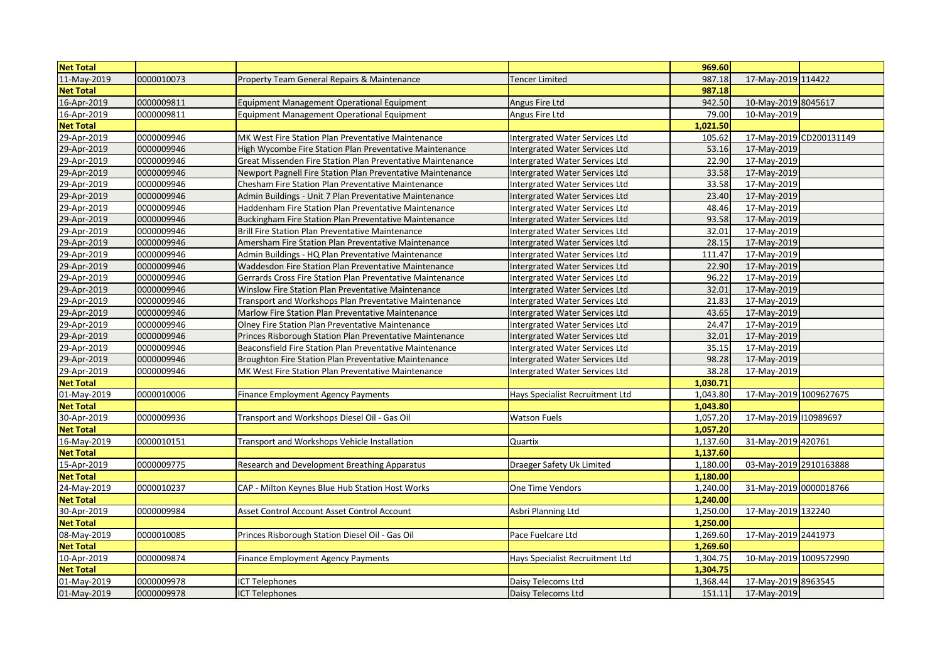| <b>Net Total</b> |            |                                                            |                                       | 969.60   |                        |                         |
|------------------|------------|------------------------------------------------------------|---------------------------------------|----------|------------------------|-------------------------|
| 11-May-2019      | 0000010073 | Property Team General Repairs & Maintenance                | <b>Tencer Limited</b>                 | 987.18   | 17-May-2019 114422     |                         |
| <b>Net Total</b> |            |                                                            |                                       | 987.18   |                        |                         |
| 16-Apr-2019      | 0000009811 | Equipment Management Operational Equipment                 | Angus Fire Ltd                        | 942.50   | 10-May-2019 8045617    |                         |
| 16-Apr-2019      | 0000009811 | Equipment Management Operational Equipment                 | Angus Fire Ltd                        | 79.00    | 10-May-2019            |                         |
| <b>Net Total</b> |            |                                                            |                                       | 1,021.50 |                        |                         |
| 29-Apr-2019      | 0000009946 | MK West Fire Station Plan Preventative Maintenance         | <b>Intergrated Water Services Ltd</b> | 105.62   |                        | 17-May-2019 CD200131149 |
| 29-Apr-2019      | 0000009946 | High Wycombe Fire Station Plan Preventative Maintenance    | <b>Intergrated Water Services Ltd</b> | 53.16    | 17-May-2019            |                         |
| 29-Apr-2019      | 0000009946 | Great Missenden Fire Station Plan Preventative Maintenance | Intergrated Water Services Ltd        | 22.90    | 17-May-2019            |                         |
| 29-Apr-2019      | 0000009946 | Newport Pagnell Fire Station Plan Preventative Maintenance | Intergrated Water Services Ltd        | 33.58    | 17-May-2019            |                         |
| 29-Apr-2019      | 0000009946 | Chesham Fire Station Plan Preventative Maintenance         | <b>Intergrated Water Services Ltd</b> | 33.58    | 17-May-2019            |                         |
| 29-Apr-2019      | 0000009946 | Admin Buildings - Unit 7 Plan Preventative Maintenance     | <b>Intergrated Water Services Ltd</b> | 23.40    | 17-May-2019            |                         |
| 29-Apr-2019      | 0000009946 | Haddenham Fire Station Plan Preventative Maintenance       | <b>Intergrated Water Services Ltd</b> | 48.46    | 17-May-2019            |                         |
| 29-Apr-2019      | 0000009946 | Buckingham Fire Station Plan Preventative Maintenance      | <b>Intergrated Water Services Ltd</b> | 93.58    | 17-May-2019            |                         |
| 29-Apr-2019      | 0000009946 | Brill Fire Station Plan Preventative Maintenance           | <b>Intergrated Water Services Ltd</b> | 32.01    | 17-May-2019            |                         |
| 29-Apr-2019      | 0000009946 | Amersham Fire Station Plan Preventative Maintenance        | <b>Intergrated Water Services Ltd</b> | 28.15    | 17-May-2019            |                         |
| 29-Apr-2019      | 0000009946 | Admin Buildings - HQ Plan Preventative Maintenance         | <b>Intergrated Water Services Ltd</b> | 111.47   | 17-May-2019            |                         |
| 29-Apr-2019      | 0000009946 | Waddesdon Fire Station Plan Preventative Maintenance       | <b>Intergrated Water Services Ltd</b> | 22.90    | 17-May-2019            |                         |
| 29-Apr-2019      | 0000009946 | Gerrards Cross Fire Station Plan Preventative Maintenance  | <b>Intergrated Water Services Ltd</b> | 96.22    | 17-May-2019            |                         |
| 29-Apr-2019      | 0000009946 | Winslow Fire Station Plan Preventative Maintenance         | Intergrated Water Services Ltd        | 32.01    | 17-May-2019            |                         |
| 29-Apr-2019      | 0000009946 | Transport and Workshops Plan Preventative Maintenance      | Intergrated Water Services Ltd        | 21.83    | 17-May-2019            |                         |
| 29-Apr-2019      | 0000009946 | Marlow Fire Station Plan Preventative Maintenance          | <b>Intergrated Water Services Ltd</b> | 43.65    | 17-May-2019            |                         |
| 29-Apr-2019      | 0000009946 | Olney Fire Station Plan Preventative Maintenance           | <b>Intergrated Water Services Ltd</b> | 24.47    | 17-May-2019            |                         |
| 29-Apr-2019      | 0000009946 | Princes Risborough Station Plan Preventative Maintenance   | <b>Intergrated Water Services Ltd</b> | 32.01    | 17-May-2019            |                         |
| 29-Apr-2019      | 0000009946 | Beaconsfield Fire Station Plan Preventative Maintenance    | Intergrated Water Services Ltd        | 35.15    | 17-May-2019            |                         |
| 29-Apr-2019      | 0000009946 | Broughton Fire Station Plan Preventative Maintenance       | Intergrated Water Services Ltd        | 98.28    | 17-May-2019            |                         |
| 29-Apr-2019      | 0000009946 | MK West Fire Station Plan Preventative Maintenance         | Intergrated Water Services Ltd        | 38.28    | 17-May-2019            |                         |
| <b>Net Total</b> |            |                                                            |                                       | 1,030.71 |                        |                         |
| 01-May-2019      | 0000010006 | Finance Employment Agency Payments                         | Hays Specialist Recruitment Ltd       | 1,043.80 | 17-May-2019 1009627675 |                         |
| <b>Net Total</b> |            |                                                            |                                       | 1,043.80 |                        |                         |
| 30-Apr-2019      | 0000009936 | Transport and Workshops Diesel Oil - Gas Oil               | <b>Watson Fuels</b>                   | 1,057.20 | 17-May-2019 10989697   |                         |
| <b>Net Total</b> |            |                                                            |                                       | 1,057.20 |                        |                         |
| 16-May-2019      | 0000010151 | Transport and Workshops Vehicle Installation               | Quartix                               | 1,137.60 | 31-May-2019 420761     |                         |
| <b>Net Total</b> |            |                                                            |                                       | 1,137.60 |                        |                         |
| 15-Apr-2019      | 0000009775 | Research and Development Breathing Apparatus               | Draeger Safety Uk Limited             | 1,180.00 | 03-May-2019 2910163888 |                         |
| <b>Net Total</b> |            |                                                            |                                       | 1,180.00 |                        |                         |
| 24-May-2019      | 0000010237 | CAP - Milton Keynes Blue Hub Station Host Works            | One Time Vendors                      | 1.240.00 | 31-May-2019 0000018766 |                         |
| <b>Net Total</b> |            |                                                            |                                       | 1,240.00 |                        |                         |
| 30-Apr-2019      | 0000009984 | Asset Control Account Asset Control Account                | Asbri Planning Ltd                    | 1,250.00 | 17-May-2019 132240     |                         |
| <b>Net Total</b> |            |                                                            |                                       | 1,250.00 |                        |                         |
| 08-May-2019      | 0000010085 | Princes Risborough Station Diesel Oil - Gas Oil            | Pace Fuelcare Ltd                     | 1,269.60 | 17-May-2019 2441973    |                         |
| <b>Net Total</b> |            |                                                            |                                       | 1,269.60 |                        |                         |
| 10-Apr-2019      | 0000009874 | <b>Finance Employment Agency Payments</b>                  | Hays Specialist Recruitment Ltd       | 1,304.75 | 10-May-2019 1009572990 |                         |
| <b>Net Total</b> |            |                                                            |                                       | 1,304.75 |                        |                         |
| 01-May-2019      | 0000009978 | <b>ICT Telephones</b>                                      | Daisy Telecoms Ltd                    | 1,368.44 | 17-May-2019 8963545    |                         |
| 01-May-2019      | 0000009978 | <b>ICT Telephones</b>                                      | Daisy Telecoms Ltd                    | 151.11   | 17-May-2019            |                         |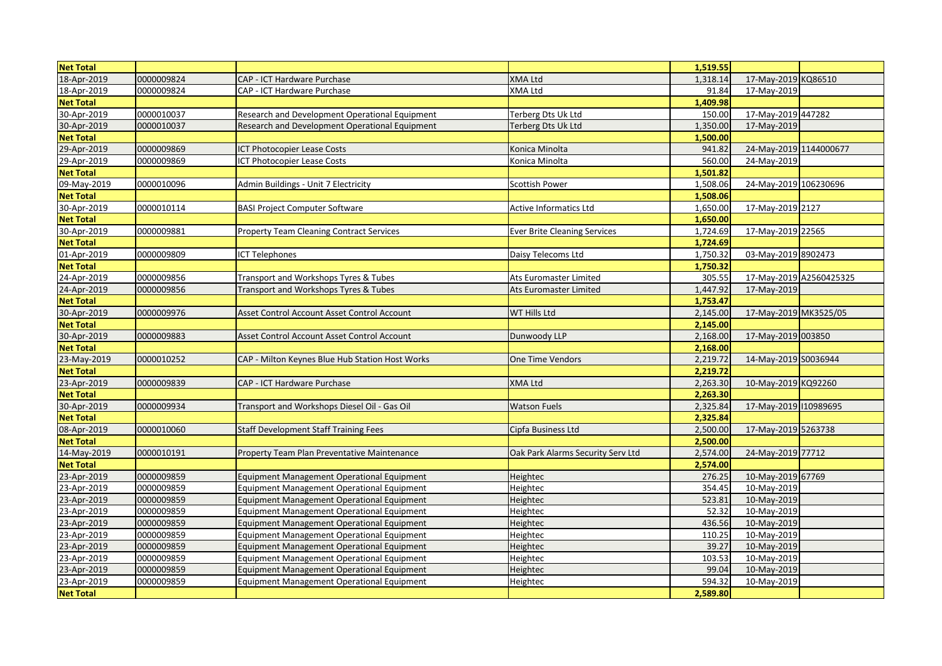| <b>Net Total</b> |            |                                                   |                                     | 1,519.55 |                        |                         |
|------------------|------------|---------------------------------------------------|-------------------------------------|----------|------------------------|-------------------------|
| 18-Apr-2019      | 0000009824 | CAP - ICT Hardware Purchase                       | <b>XMA Ltd</b>                      | 1,318.14 | 17-May-2019 KQ86510    |                         |
| 18-Apr-2019      | 0000009824 | CAP - ICT Hardware Purchase                       | <b>XMA Ltd</b>                      | 91.84    | 17-May-2019            |                         |
| <b>Net Total</b> |            |                                                   |                                     | 1,409.98 |                        |                         |
| 30-Apr-2019      | 0000010037 | Research and Development Operational Equipment    | Terberg Dts Uk Ltd                  | 150.00   | 17-May-2019 447282     |                         |
| 30-Apr-2019      | 0000010037 | Research and Development Operational Equipment    | Terberg Dts Uk Ltd                  | 1,350.00 | 17-May-2019            |                         |
| <b>Net Total</b> |            |                                                   |                                     | 1,500.00 |                        |                         |
| 29-Apr-2019      | 0000009869 | ICT Photocopier Lease Costs                       | Konica Minolta                      | 941.82   | 24-May-2019 1144000677 |                         |
| 29-Apr-2019      | 0000009869 | ICT Photocopier Lease Costs                       | Konica Minolta                      | 560.00   | 24-May-2019            |                         |
| <b>Net Total</b> |            |                                                   |                                     | 1,501.82 |                        |                         |
| 09-May-2019      | 0000010096 | Admin Buildings - Unit 7 Electricity              | Scottish Power                      | 1,508.06 | 24-May-2019 106230696  |                         |
| <b>Net Total</b> |            |                                                   |                                     | 1,508.06 |                        |                         |
| 30-Apr-2019      | 0000010114 | <b>BASI Project Computer Software</b>             | <b>Active Informatics Ltd</b>       | 1,650.00 | 17-May-2019 2127       |                         |
| <b>Net Total</b> |            |                                                   |                                     | 1,650.00 |                        |                         |
| 30-Apr-2019      | 0000009881 | <b>Property Team Cleaning Contract Services</b>   | <b>Ever Brite Cleaning Services</b> | 1,724.69 | 17-May-2019 22565      |                         |
| <b>Net Total</b> |            |                                                   |                                     | 1,724.69 |                        |                         |
| 01-Apr-2019      | 0000009809 | CT Telephones                                     | Daisy Telecoms Ltd                  | 1,750.32 | 03-May-2019 8902473    |                         |
| <b>Net Total</b> |            |                                                   |                                     | 1,750.32 |                        |                         |
| 24-Apr-2019      | 0000009856 | Transport and Workshops Tyres & Tubes             | Ats Euromaster Limited              | 305.55   |                        | 17-May-2019 A2560425325 |
| 24-Apr-2019      | 0000009856 | Transport and Workshops Tyres & Tubes             | Ats Euromaster Limited              | 1,447.92 | 17-May-2019            |                         |
| <b>Net Total</b> |            |                                                   |                                     | 1,753.47 |                        |                         |
|                  |            |                                                   |                                     |          |                        |                         |
| 30-Apr-2019      | 0000009976 | Asset Control Account Asset Control Account       | WT Hills Ltd                        | 2,145.00 | 17-May-2019 MK3525/05  |                         |
| <b>Net Total</b> |            |                                                   |                                     | 2,145.00 |                        |                         |
| 30-Apr-2019      | 0000009883 | Asset Control Account Asset Control Account       | Dunwoody LLP                        | 2,168.00 | 17-May-2019 003850     |                         |
| <b>Net Total</b> |            |                                                   |                                     | 2,168.00 |                        |                         |
| 23-May-2019      | 0000010252 | CAP - Milton Keynes Blue Hub Station Host Works   | One Time Vendors                    | 2,219.72 | 14-May-2019 S0036944   |                         |
| <b>Net Total</b> |            |                                                   |                                     | 2,219.72 |                        |                         |
| 23-Apr-2019      | 0000009839 | CAP - ICT Hardware Purchase                       | <b>XMA Ltd</b>                      | 2,263.30 | 10-May-2019 KQ92260    |                         |
| <b>Net Total</b> |            |                                                   |                                     | 2,263.30 |                        |                         |
| 30-Apr-2019      | 0000009934 | Transport and Workshops Diesel Oil - Gas Oil      | <b>Watson Fuels</b>                 | 2,325.84 | 17-May-2019 10989695   |                         |
| <b>Net Total</b> |            |                                                   |                                     | 2,325.84 |                        |                         |
| 08-Apr-2019      | 0000010060 | Staff Development Staff Training Fees             | Cipfa Business Ltd                  | 2,500.00 | 17-May-2019 5263738    |                         |
| <b>Net Total</b> |            |                                                   |                                     | 2,500.00 |                        |                         |
| 14-May-2019      | 0000010191 | Property Team Plan Preventative Maintenance       | Oak Park Alarms Security Serv Ltd   | 2,574.00 | 24-May-2019 77712      |                         |
| <b>Net Total</b> |            |                                                   |                                     | 2,574.00 |                        |                         |
| 23-Apr-2019      | 0000009859 | Equipment Management Operational Equipment        | Heightec                            | 276.25   | 10-May-2019 67769      |                         |
| 23-Apr-2019      | 0000009859 | Equipment Management Operational Equipment        | Heightec                            | 354.45   | 10-May-2019            |                         |
| 23-Apr-2019      | 0000009859 | Equipment Management Operational Equipment        | Heightec                            | 523.81   | 10-May-2019            |                         |
| 23-Apr-2019      | 0000009859 | Equipment Management Operational Equipment        | Heightec                            | 52.32    | 10-May-2019            |                         |
| 23-Apr-2019      | 0000009859 | Equipment Management Operational Equipment        | Heightec                            | 436.56   | 10-May-2019            |                         |
| 23-Apr-2019      | 0000009859 | <b>Equipment Management Operational Equipment</b> | Heightec                            | 110.25   | 10-May-2019            |                         |
| 23-Apr-2019      | 0000009859 | Equipment Management Operational Equipment        | Heightec                            | 39.27    | 10-May-2019            |                         |
| 23-Apr-2019      | 0000009859 | Equipment Management Operational Equipment        | Heightec                            | 103.53   | 10-May-2019            |                         |
| 23-Apr-2019      | 0000009859 | Equipment Management Operational Equipment        | Heightec                            | 99.04    | 10-May-2019            |                         |
| 23-Apr-2019      | 0000009859 | Equipment Management Operational Equipment        | Heightec                            | 594.32   | 10-May-2019            |                         |
| <b>Net Total</b> |            |                                                   |                                     | 2,589.80 |                        |                         |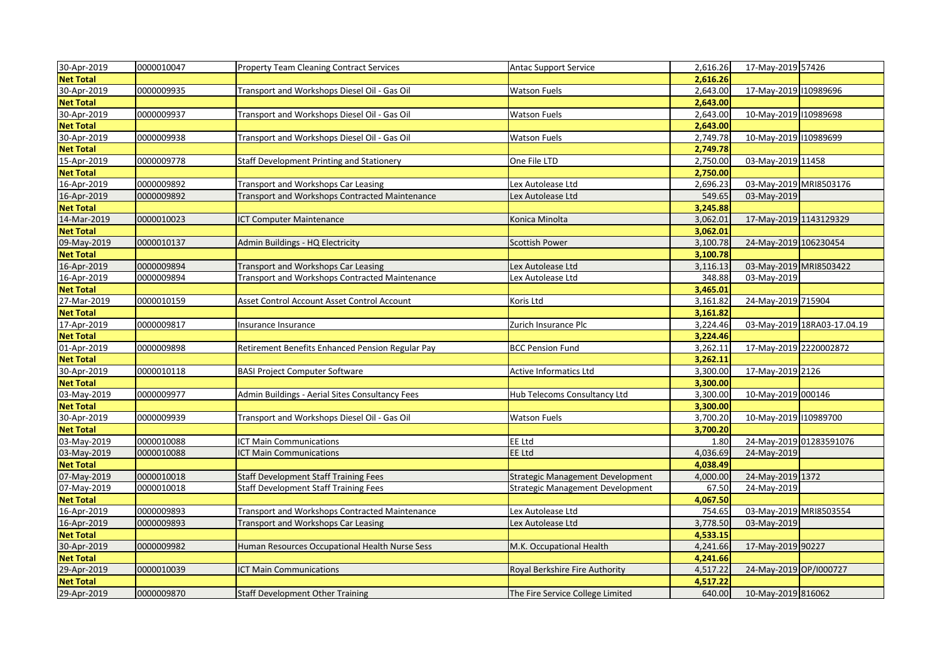| 30-Apr-2019      | 0000010047 | <b>Property Team Cleaning Contract Services</b>  | <b>Antac Support Service</b>     | 2,616.26 | 17-May-2019 57426           |
|------------------|------------|--------------------------------------------------|----------------------------------|----------|-----------------------------|
| <b>Net Total</b> |            |                                                  |                                  | 2,616.26 |                             |
| 30-Apr-2019      | 0000009935 | Transport and Workshops Diesel Oil - Gas Oil     | <b>Watson Fuels</b>              | 2,643.00 | 17-May-2019 110989696       |
| <b>Net Total</b> |            |                                                  |                                  | 2,643.00 |                             |
| 30-Apr-2019      | 0000009937 | Transport and Workshops Diesel Oil - Gas Oil     | Watson Fuels                     | 2,643.00 | 10-May-2019 110989698       |
| <b>Net Total</b> |            |                                                  |                                  | 2,643.00 |                             |
| 30-Apr-2019      | 0000009938 | Transport and Workshops Diesel Oil - Gas Oil     | <b>Watson Fuels</b>              | 2,749.78 | 10-May-2019 10989699        |
| <b>Net Total</b> |            |                                                  |                                  | 2,749.78 |                             |
| 15-Apr-2019      | 0000009778 | Staff Development Printing and Stationery        | One File LTD                     | 2,750.00 | 03-May-2019 11458           |
| <b>Net Total</b> |            |                                                  |                                  | 2,750.00 |                             |
| 16-Apr-2019      | 0000009892 | Transport and Workshops Car Leasing              | Lex Autolease Ltd                | 2,696.23 | 03-May-2019 MRI8503176      |
| 16-Apr-2019      | 0000009892 | Transport and Workshops Contracted Maintenance   | Lex Autolease Ltd                | 549.65   | 03-May-2019                 |
| <b>Net Total</b> |            |                                                  |                                  | 3,245.88 |                             |
| 14-Mar-2019      | 0000010023 | <b>ICT Computer Maintenance</b>                  | Konica Minolta                   | 3,062.01 | 17-May-2019 1143129329      |
| <b>Net Total</b> |            |                                                  |                                  | 3,062.01 |                             |
| 09-May-2019      | 0000010137 | Admin Buildings - HQ Electricity                 | <b>Scottish Power</b>            | 3,100.78 | 24-May-2019 106230454       |
| <b>Net Total</b> |            |                                                  |                                  | 3,100.78 |                             |
| 16-Apr-2019      | 0000009894 | Transport and Workshops Car Leasing              | Lex Autolease Ltd                | 3,116.13 | 03-May-2019 MRI8503422      |
| 16-Apr-2019      | 0000009894 | Transport and Workshops Contracted Maintenance   | Lex Autolease Ltd                | 348.88   | 03-May-2019                 |
| <b>Net Total</b> |            |                                                  |                                  | 3,465.01 |                             |
| 27-Mar-2019      | 0000010159 | Asset Control Account Asset Control Account      | Koris Ltd                        | 3,161.82 | 24-May-2019 715904          |
| <b>Net Total</b> |            |                                                  |                                  | 3,161.82 |                             |
| 17-Apr-2019      | 0000009817 | Insurance Insurance                              | Zurich Insurance Plc             | 3,224.46 | 03-May-2019 18RA03-17.04.19 |
| <b>Net Total</b> |            |                                                  |                                  | 3,224.46 |                             |
| 01-Apr-2019      | 0000009898 | Retirement Benefits Enhanced Pension Regular Pay | <b>BCC Pension Fund</b>          | 3,262.11 | 17-May-2019 2220002872      |
| <b>Net Total</b> |            |                                                  |                                  | 3,262.11 |                             |
| 30-Apr-2019      | 0000010118 | <b>BASI Project Computer Software</b>            | <b>Active Informatics Ltd</b>    | 3,300.00 | 17-May-2019 2126            |
| <b>Net Total</b> |            |                                                  |                                  | 3,300.00 |                             |
| 03-May-2019      | 0000009977 | Admin Buildings - Aerial Sites Consultancy Fees  | Hub Telecoms Consultancy Ltd     | 3,300.00 | 10-May-2019 000146          |
| <b>Net Total</b> |            |                                                  |                                  | 3,300.00 |                             |
| 30-Apr-2019      | 0000009939 | Transport and Workshops Diesel Oil - Gas Oil     | <b>Watson Fuels</b>              | 3,700.20 | 10-May-2019 110989700       |
| <b>Net Total</b> |            |                                                  |                                  | 3,700.20 |                             |
| 03-May-2019      | 0000010088 | <b>ICT Main Communications</b>                   | <b>EE Ltd</b>                    | 1.80     | 24-May-2019 01283591076     |
| 03-May-2019      | 0000010088 | ICT Main Communications                          | <b>EE Ltd</b>                    | 4,036.69 | 24-May-2019                 |
| <b>Net Total</b> |            |                                                  |                                  | 4,038.49 |                             |
| 07-May-2019      | 0000010018 | <b>Staff Development Staff Training Fees</b>     | Strategic Management Development | 4,000.00 | 24-May-2019 1372            |
| 07-May-2019      | 0000010018 | <b>Staff Development Staff Training Fees</b>     | Strategic Management Development | 67.50    | 24-May-2019                 |
| <b>Net Total</b> |            |                                                  |                                  | 4,067.50 |                             |
| 16-Apr-2019      | 0000009893 | Transport and Workshops Contracted Maintenance   | Lex Autolease Ltd                | 754.65   | 03-May-2019 MRI8503554      |
| 16-Apr-2019      | 0000009893 | <b>Transport and Workshops Car Leasing</b>       | Lex Autolease Ltd                | 3,778.50 | 03-May-2019                 |
| <b>Net Total</b> |            |                                                  |                                  | 4,533.15 |                             |
| 30-Apr-2019      | 0000009982 | Human Resources Occupational Health Nurse Sess   | M.K. Occupational Health         | 4,241.66 | 17-May-2019 90227           |
| <b>Net Total</b> |            |                                                  |                                  | 4,241.66 |                             |
| 29-Apr-2019      | 0000010039 | <b>ICT Main Communications</b>                   | Royal Berkshire Fire Authority   | 4,517.22 | 24-May-2019 OP/I000727      |
| <b>Net Total</b> |            |                                                  |                                  | 4,517.22 |                             |
| 29-Apr-2019      | 0000009870 | <b>Staff Development Other Training</b>          | The Fire Service College Limited | 640.00   | 10-May-2019 816062          |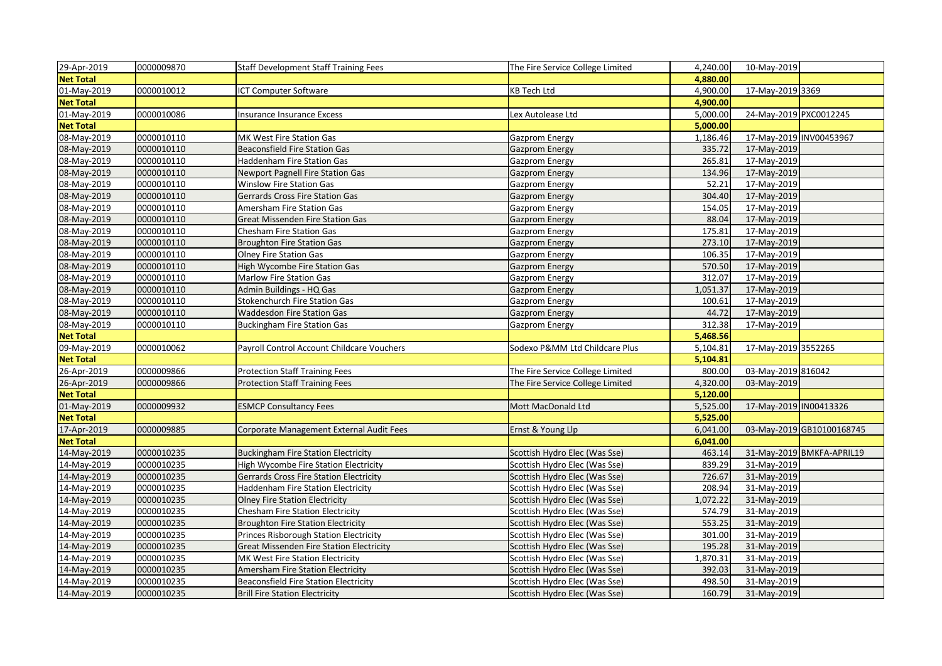| 29-Apr-2019      | 0000009870 | <b>Staff Development Staff Training Fees</b>   | The Fire Service College Limited | 4,240.00 | 10-May-2019             |                           |
|------------------|------------|------------------------------------------------|----------------------------------|----------|-------------------------|---------------------------|
| <b>Net Total</b> |            |                                                |                                  | 4,880.00 |                         |                           |
| 01-May-2019      | 0000010012 | <b>ICT Computer Software</b>                   | <b>KB Tech Ltd</b>               | 4,900.00 | 17-May-2019 3369        |                           |
| <b>Net Total</b> |            |                                                |                                  | 4,900.00 |                         |                           |
| 01-May-2019      | 0000010086 | Insurance Insurance Excess                     | Lex Autolease Ltd                | 5,000.00 | 24-May-2019 PXC0012245  |                           |
| <b>Net Total</b> |            |                                                |                                  | 5,000.00 |                         |                           |
| 08-May-2019      | 0000010110 | MK West Fire Station Gas                       | <b>Gazprom Energy</b>            | 1,186.46 | 17-May-2019 INV00453967 |                           |
| 08-May-2019      | 0000010110 | <b>Beaconsfield Fire Station Gas</b>           | <b>Gazprom Energy</b>            | 335.72   | 17-May-2019             |                           |
| 08-May-2019      | 0000010110 | Haddenham Fire Station Gas                     | Gazprom Energy                   | 265.81   | 17-May-2019             |                           |
| 08-May-2019      | 0000010110 | <b>Newport Pagnell Fire Station Gas</b>        | <b>Gazprom Energy</b>            | 134.96   | 17-May-2019             |                           |
| 08-May-2019      | 0000010110 | Winslow Fire Station Gas                       | Gazprom Energy                   | 52.21    | 17-May-2019             |                           |
| 08-May-2019      | 0000010110 | Gerrards Cross Fire Station Gas                | <b>Gazprom Energy</b>            | 304.40   | 17-May-2019             |                           |
| 08-May-2019      | 0000010110 | Amersham Fire Station Gas                      | Gazprom Energy                   | 154.05   | 17-May-2019             |                           |
| 08-May-2019      | 0000010110 | Great Missenden Fire Station Gas               | Gazprom Energy                   | 88.04    | 17-May-2019             |                           |
| 08-May-2019      | 0000010110 | Chesham Fire Station Gas                       | Gazprom Energy                   | 175.81   | 17-May-2019             |                           |
| 08-May-2019      | 0000010110 | <b>Broughton Fire Station Gas</b>              | Gazprom Energy                   | 273.10   | 17-May-2019             |                           |
| 08-May-2019      | 0000010110 | Olney Fire Station Gas                         | Gazprom Energy                   | 106.35   | 17-May-2019             |                           |
| 08-May-2019      | 0000010110 | High Wycombe Fire Station Gas                  | <b>Gazprom Energy</b>            | 570.50   | 17-May-2019             |                           |
| 08-May-2019      | 0000010110 | Marlow Fire Station Gas                        | Gazprom Energy                   | 312.07   | 17-May-2019             |                           |
| 08-May-2019      | 0000010110 | Admin Buildings - HQ Gas                       | <b>Gazprom Energy</b>            | 1,051.37 | 17-May-2019             |                           |
| 08-May-2019      | 0000010110 | Stokenchurch Fire Station Gas                  | Gazprom Energy                   | 100.61   | 17-May-2019             |                           |
| 08-May-2019      | 0000010110 | Waddesdon Fire Station Gas                     | Gazprom Energy                   | 44.72    | 17-May-2019             |                           |
| 08-May-2019      | 0000010110 | <b>Buckingham Fire Station Gas</b>             | Gazprom Energy                   | 312.38   | 17-May-2019             |                           |
| <b>Net Total</b> |            |                                                |                                  | 5,468.56 |                         |                           |
| 09-May-2019      | 0000010062 | Payroll Control Account Childcare Vouchers     | Sodexo P&MM Ltd Childcare Plus   | 5,104.81 | 17-May-2019 3552265     |                           |
| <b>Net Total</b> |            |                                                |                                  | 5,104.81 |                         |                           |
| 26-Apr-2019      | 0000009866 | <b>Protection Staff Training Fees</b>          | The Fire Service College Limited | 800.00   | 03-May-2019 816042      |                           |
| 26-Apr-2019      | 0000009866 | <b>Protection Staff Training Fees</b>          | The Fire Service College Limited | 4,320.00 | 03-May-2019             |                           |
| <b>Net Total</b> |            |                                                |                                  | 5,120.00 |                         |                           |
| 01-May-2019      | 0000009932 | <b>ESMCP Consultancy Fees</b>                  | Mott MacDonald Ltd               | 5,525.00 | 17-May-2019 IN00413326  |                           |
| <b>Net Total</b> |            |                                                |                                  | 5,525.00 |                         |                           |
| 17-Apr-2019      | 0000009885 | Corporate Management External Audit Fees       | Ernst & Young Llp                | 6,041.00 |                         | 03-May-2019 GB10100168745 |
| <b>Net Total</b> |            |                                                |                                  | 6,041.00 |                         |                           |
| 14-May-2019      | 0000010235 | <b>Buckingham Fire Station Electricity</b>     | Scottish Hydro Elec (Was Sse)    | 463.14   |                         | 31-May-2019 BMKFA-APRIL19 |
| 14-May-2019      | 0000010235 | High Wycombe Fire Station Electricity          | Scottish Hydro Elec (Was Sse)    | 839.29   | 31-May-2019             |                           |
| 14-May-2019      | 0000010235 | <b>Gerrards Cross Fire Station Electricity</b> | Scottish Hydro Elec (Was Sse)    | 726.67   | 31-May-2019             |                           |
| 14-May-2019      | 0000010235 | <b>Haddenham Fire Station Electricity</b>      | Scottish Hydro Elec (Was Sse)    | 208.94   | 31-May-2019             |                           |
| 14-May-2019      | 0000010235 | <b>Olney Fire Station Electricity</b>          | Scottish Hydro Elec (Was Sse)    | 1,072.22 | 31-May-2019             |                           |
| 14-May-2019      | 0000010235 | Chesham Fire Station Electricity               | Scottish Hydro Elec (Was Sse)    | 574.79   | 31-May-2019             |                           |
| 14-May-2019      | 0000010235 | <b>Broughton Fire Station Electricity</b>      | Scottish Hydro Elec (Was Sse)    | 553.25   | 31-May-2019             |                           |
| 14-May-2019      | 0000010235 | <b>Princes Risborough Station Electricity</b>  | Scottish Hydro Elec (Was Sse)    | 301.00   | 31-May-2019             |                           |
| 14-May-2019      | 0000010235 | Great Missenden Fire Station Electricity       | Scottish Hydro Elec (Was Sse)    | 195.28   | 31-May-2019             |                           |
| 14-May-2019      | 0000010235 | MK West Fire Station Electricity               | Scottish Hydro Elec (Was Sse)    | 1,870.31 | 31-May-2019             |                           |
| 14-May-2019      | 0000010235 | Amersham Fire Station Electricity              | Scottish Hydro Elec (Was Sse)    | 392.03   | 31-May-2019             |                           |
| 14-May-2019      | 0000010235 | <b>Beaconsfield Fire Station Electricity</b>   | Scottish Hydro Elec (Was Sse)    | 498.50   | 31-May-2019             |                           |
| 14-May-2019      | 0000010235 | <b>Brill Fire Station Electricity</b>          | Scottish Hydro Elec (Was Sse)    | 160.79   | 31-May-2019             |                           |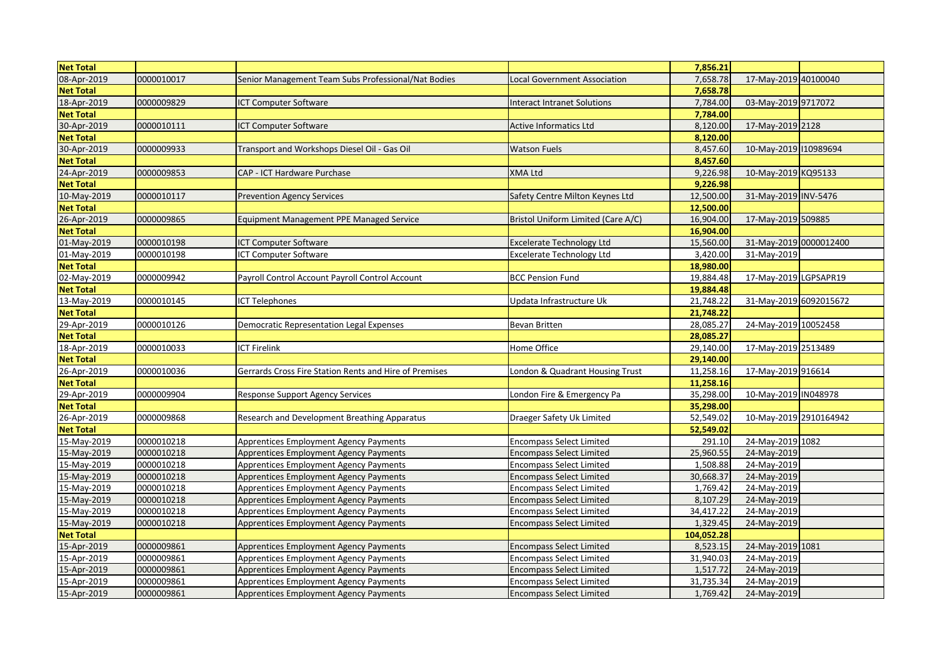| <b>Net Total</b> |            |                                                        |                                           | 7,856.21   |                        |  |
|------------------|------------|--------------------------------------------------------|-------------------------------------------|------------|------------------------|--|
| 08-Apr-2019      | 0000010017 | Senior Management Team Subs Professional/Nat Bodies    | Local Government Association              | 7,658.78   | 17-May-2019 40100040   |  |
| <b>Net Total</b> |            |                                                        |                                           | 7,658.78   |                        |  |
| 18-Apr-2019      | 0000009829 | ICT Computer Software                                  | Interact Intranet Solutions               | 7,784.00   | 03-May-2019 9717072    |  |
| <b>Net Total</b> |            |                                                        |                                           | 7,784.00   |                        |  |
| 30-Apr-2019      | 0000010111 | <b>ICT Computer Software</b>                           | <b>Active Informatics Ltd</b>             | 8,120.00   | 17-May-2019 2128       |  |
| <b>Net Total</b> |            |                                                        |                                           | 8,120.00   |                        |  |
| 30-Apr-2019      | 0000009933 | Fransport and Workshops Diesel Oil - Gas Oil           | <b>Watson Fuels</b>                       | 8,457.60   | 10-May-2019 110989694  |  |
| <b>Net Total</b> |            |                                                        |                                           | 8,457.60   |                        |  |
| 24-Apr-2019      | 0000009853 | CAP - ICT Hardware Purchase                            | <b>XMA Ltd</b>                            | 9,226.98   | 10-May-2019 KQ95133    |  |
| <b>Net Total</b> |            |                                                        |                                           | 9,226.98   |                        |  |
| 10-May-2019      | 0000010117 | <b>Prevention Agency Services</b>                      | Safety Centre Milton Keynes Ltd           | 12,500.00  | 31-May-2019 INV-5476   |  |
| <b>Net Total</b> |            |                                                        |                                           | 12,500.00  |                        |  |
| 26-Apr-2019      | 0000009865 | <b>Equipment Management PPE Managed Service</b>        | <b>Bristol Uniform Limited (Care A/C)</b> | 16,904.00  | 17-May-2019 509885     |  |
| <b>Net Total</b> |            |                                                        |                                           | 16,904.00  |                        |  |
| 01-May-2019      | 0000010198 | <b>ICT Computer Software</b>                           | Excelerate Technology Ltd                 | 15,560.00  | 31-May-2019 0000012400 |  |
| 01-May-2019      | 0000010198 | <b>ICT Computer Software</b>                           | <b>Excelerate Technology Ltd</b>          | 3,420.00   | 31-May-2019            |  |
| <b>Net Total</b> |            |                                                        |                                           | 18,980.00  |                        |  |
| 02-May-2019      | 0000009942 | Payroll Control Account Payroll Control Account        | <b>BCC Pension Fund</b>                   | 19,884.48  | 17-May-2019 LGPSAPR19  |  |
| <b>Net Total</b> |            |                                                        |                                           | 19,884.48  |                        |  |
| 13-May-2019      | 0000010145 | <b>ICT Telephones</b>                                  | Updata Infrastructure Uk                  | 21,748.22  | 31-May-2019 6092015672 |  |
| <b>Net Total</b> |            |                                                        |                                           | 21,748.22  |                        |  |
| 29-Apr-2019      | 0000010126 | Democratic Representation Legal Expenses               | <b>Bevan Britten</b>                      | 28,085.27  | 24-May-2019 10052458   |  |
| <b>Net Total</b> |            |                                                        |                                           | 28,085.27  |                        |  |
| 18-Apr-2019      | 0000010033 | <b>ICT Firelink</b>                                    | Home Office                               | 29,140.00  | 17-May-2019 2513489    |  |
| <b>Net Total</b> |            |                                                        |                                           | 29,140.00  |                        |  |
| 26-Apr-2019      | 0000010036 | Gerrards Cross Fire Station Rents and Hire of Premises | London & Quadrant Housing Trust           | 11,258.16  | 17-May-2019 916614     |  |
| <b>Net Total</b> |            |                                                        |                                           | 11,258.16  |                        |  |
| 29-Apr-2019      | 0000009904 | <b>Response Support Agency Services</b>                | London Fire & Emergency Pa                | 35,298.00  | 10-May-2019 IN048978   |  |
| <b>Net Total</b> |            |                                                        |                                           | 35,298.00  |                        |  |
| 26-Apr-2019      | 0000009868 | Research and Development Breathing Apparatus           | Draeger Safety Uk Limited                 | 52,549.02  | 10-May-2019 2910164942 |  |
| <b>Net Total</b> |            |                                                        |                                           | 52,549.02  |                        |  |
| 15-May-2019      | 0000010218 |                                                        |                                           | 291.10     | 24-May-2019 1082       |  |
|                  | 0000010218 | <b>Apprentices Employment Agency Payments</b>          | Encompass Select Limited                  |            |                        |  |
| 15-May-2019      |            | Apprentices Employment Agency Payments                 | Encompass Select Limited                  | 25,960.55  | 24-May-2019            |  |
| 15-May-2019      | 0000010218 | <b>Apprentices Employment Agency Payments</b>          | <b>Encompass Select Limited</b>           | 1,508.88   | 24-May-2019            |  |
| 15-May-2019      | 0000010218 | Apprentices Employment Agency Payments                 | <b>Encompass Select Limited</b>           | 30,668.37  | 24-May-2019            |  |
| 15-May-2019      | 0000010218 | <b>Apprentices Employment Agency Payments</b>          | <b>Encompass Select Limited</b>           | 1,769.42   | 24-May-2019            |  |
| 15-May-2019      | 0000010218 | <b>Apprentices Employment Agency Payments</b>          | <b>Encompass Select Limited</b>           | 8,107.29   | 24-May-2019            |  |
| 15-May-2019      | 0000010218 | Apprentices Employment Agency Payments                 | <b>Encompass Select Limited</b>           | 34,417.22  | 24-May-2019            |  |
| 15-May-2019      | 0000010218 | Apprentices Employment Agency Payments                 | <b>Encompass Select Limited</b>           | 1,329.45   | 24-May-2019            |  |
| <b>Net Total</b> |            |                                                        |                                           | 104,052.28 |                        |  |
| 15-Apr-2019      | 0000009861 | <b>Apprentices Employment Agency Payments</b>          | <b>Encompass Select Limited</b>           | 8,523.15   | 24-May-2019 1081       |  |
| 15-Apr-2019      | 0000009861 | Apprentices Employment Agency Payments                 | Encompass Select Limited                  | 31,940.03  | 24-May-2019            |  |
| 15-Apr-2019      | 0000009861 | <b>Apprentices Employment Agency Payments</b>          | <b>Encompass Select Limited</b>           | 1,517.72   | 24-May-2019            |  |
| 15-Apr-2019      | 0000009861 | <b>Apprentices Employment Agency Payments</b>          | Encompass Select Limited                  | 31,735.34  | 24-May-2019            |  |
| 15-Apr-2019      | 0000009861 | Apprentices Employment Agency Payments                 | <b>Encompass Select Limited</b>           | 1,769.42   | 24-May-2019            |  |